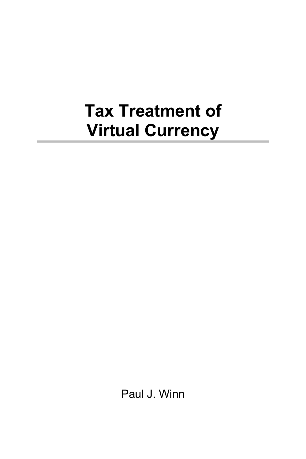## **Tax Treatment of Virtual Currency**

Paul J. Winn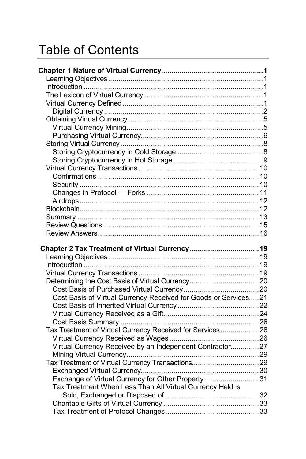## Table of Contents

| Chapter 2 Tax Treatment of Virtual Currency19                   |  |
|-----------------------------------------------------------------|--|
|                                                                 |  |
|                                                                 |  |
|                                                                 |  |
|                                                                 |  |
|                                                                 |  |
| Cost Basis of Virtual Currency Received for Goods or Services21 |  |
|                                                                 |  |
|                                                                 |  |
|                                                                 |  |
| Tax Treatment of Virtual Currency Received for Services26       |  |
|                                                                 |  |
| Virtual Currency Received by an Independent Contractor27        |  |
|                                                                 |  |
| Tax Treatment of Virtual Currency Transactions29                |  |
|                                                                 |  |
| Exchange of Virtual Currency for Other Property31               |  |
| Tax Treatment When Less Than All Virtual Currency Held is       |  |
|                                                                 |  |
|                                                                 |  |